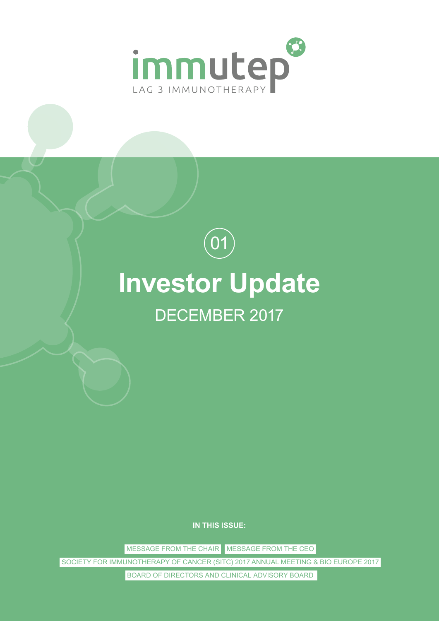

# **Investor Update**  $\left( 01\right)$ DECEMBER 2017

**IN THIS ISSUE:**

MESSAGE FROM THE CHAIR MESSAGE FROM THE CEO

SOCIETY FOR IMMUNOTHERAPY OF CANCER (SITC) 2017 ANNUAL MEETING & BIO EUROPE 2017

BOARD OF DIRECTORS AND CLINICAL ADVISORY BOARD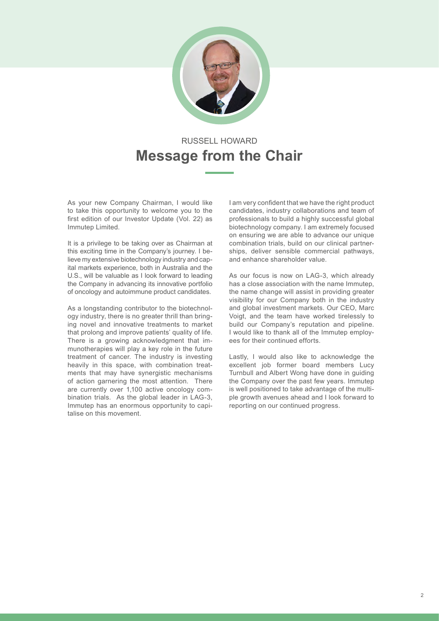

# RUSSELL HOWARD **Message from the Chair**

As your new Company Chairman, I would like to take this opportunity to welcome you to the first edition of our Investor Update (Vol. 22) as Immutep Limited.

It is a privilege to be taking over as Chairman at this exciting time in the Company's journey. I believe my extensive biotechnology industry and capital markets experience, both in Australia and the U.S., will be valuable as I look forward to leading the Company in advancing its innovative portfolio of oncology and autoimmune product candidates.

As a longstanding contributor to the biotechnology industry, there is no greater thrill than bringing novel and innovative treatments to market that prolong and improve patients' quality of life. There is a growing acknowledgment that immunotherapies will play a key role in the future treatment of cancer. The industry is investing heavily in this space, with combination treatments that may have synergistic mechanisms of action garnering the most attention. There are currently over 1,100 active oncology combination trials. As the global leader in LAG-3, Immutep has an enormous opportunity to capitalise on this movement.

I am very confident that we have the right product candidates, industry collaborations and team of professionals to build a highly successful global biotechnology company. I am extremely focused on ensuring we are able to advance our unique combination trials, build on our clinical partnerships, deliver sensible commercial pathways, and enhance shareholder value.

As our focus is now on LAG-3, which already has a close association with the name Immutep, the name change will assist in providing greater visibility for our Company both in the industry and global investment markets. Our CEO, Marc Voigt, and the team have worked tirelessly to build our Company's reputation and pipeline. I would like to thank all of the Immutep employees for their continued efforts.

Lastly, I would also like to acknowledge the excellent job former board members Lucy Turnbull and Albert Wong have done in guiding the Company over the past few years. Immutep is well positioned to take advantage of the multiple growth avenues ahead and I look forward to reporting on our continued progress.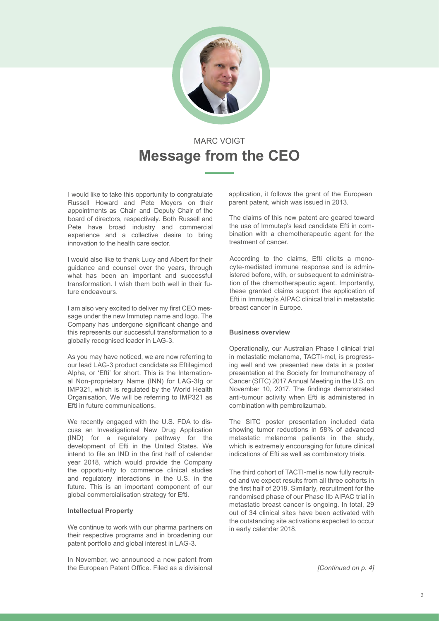

# MARC VOIGT **Message from the CEO**

I would like to take this opportunity to congratulate Russell Howard and Pete Meyers on their appointments as Chair and Deputy Chair of the board of directors, respectively. Both Russell and Pete have broad industry and commercial experience and a collective desire to bring innovation to the health care sector.

I would also like to thank Lucy and Albert for their guidance and counsel over the years, through what has been an important and successful transformation. I wish them both well in their future endeavours.

I am also very excited to deliver my first CEO message under the new Immutep name and logo. The Company has undergone significant change and this represents our successful transformation to a globally recognised leader in LAG-3.

As you may have noticed, we are now referring to our lead LAG-3 product candidate as Eftilagimod Alpha, or 'Efti' for short. This is the International Non-proprietary Name (INN) for LAG-3Ig or IMP321, which is regulated by the World Health Organisation. We will be referring to IMP321 as Efti in future communications.

We recently engaged with the U.S. FDA to discuss an Investigational New Drug Application (IND) for a regulatory pathway for the development of Efti in the United States. We intend to file an IND in the first half of calendar year 2018, which would provide the Company the opportu-nity to commence clinical studies and regulatory interactions in the U.S. in the future. This is an important component of our global commercialisation strategy for Efti.

#### **Intellectual Property**

We continue to work with our pharma partners on their respective programs and in broadening our patent portfolio and global interest in LAG-3.

In November, we announced a new patent from the European Patent Office. Filed as a divisional application, it follows the grant of the European parent patent, which was issued in 2013.

The claims of this new patent are geared toward the use of Immutep's lead candidate Efti in combination with a chemotherapeutic agent for the treatment of cancer.

According to the claims, Efti elicits a monocyte-mediated immune response and is administered before, with, or subsequent to administration of the chemotherapeutic agent. Importantly, these granted claims support the application of Efti in Immutep's AIPAC clinical trial in metastatic breast cancer in Europe.

#### **Business overview**

Operationally, our Australian Phase I clinical trial in metastatic melanoma, TACTI-mel, is progressing well and we presented new data in a poster presentation at the Society for Immunotherapy of Cancer (SITC) 2017 Annual Meeting in the U.S. on November 10, 2017. The findings demonstrated anti-tumour activity when Efti is administered in combination with pembrolizumab.

The SITC poster presentation included data showing tumor reductions in 58% of advanced metastatic melanoma patients in the study, which is extremely encouraging for future clinical indications of Efti as well as combinatory trials.

The third cohort of TACTI-mel is now fully recruited and we expect results from all three cohorts in the first half of 2018. Similarly, recruitment for the randomised phase of our Phase IIb AIPAC trial in metastatic breast cancer is ongoing. In total, 29 out of 34 clinical sites have been activated with the outstanding site activations expected to occur in early calendar 2018.

*[Continued on p. 4]*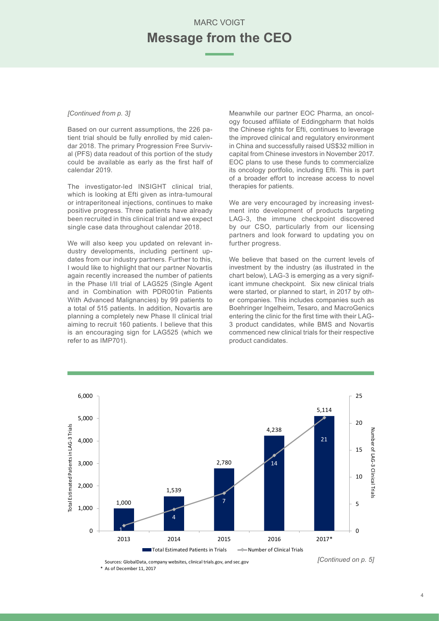### MARC VOIGT **Message from the CEO**

#### *[Continued from p. 3]*

Based on our current assumptions, the 226 patient trial should be fully enrolled by mid calendar 2018. The primary Progression Free Survival (PFS) data readout of this portion of the study could be available as early as the first half of calendar 2019.

The investigator-led INSIGHT clinical trial, which is looking at Efti given as intra-tumoural or intraperitoneal injections, continues to make positive progress. Three patients have already been recruited in this clinical trial and we expect single case data throughout calendar 2018.

We will also keep you updated on relevant industry developments, including pertinent updates from our industry partners. Further to this, I would like to highlight that our partner Novartis again recently increased the number of patients in the Phase I/II trial of LAG525 (Single Agent and in Combination with PDR001in Patients With Advanced Malignancies) by 99 patients to a total of 515 patients. In addition, Novartis are planning a completely new Phase II clinical trial aiming to recruit 160 patients. I believe that this is an encouraging sign for LAG525 (which we refer to as IMP701).

Meanwhile our partner EOC Pharma, an oncology focused affiliate of Eddingpharm that holds the Chinese rights for Efti, continues to leverage the improved clinical and regulatory environment in China and successfully raised US\$32 million in capital from Chinese investors in November 2017. EOC plans to use these funds to commercialize its oncology portfolio, including Efti. This is part of a broader effort to increase access to novel therapies for patients.

We are very encouraged by increasing investment into development of products targeting LAG-3, the immune checkpoint discovered by our CSO, particularly from our licensing partners and look forward to updating you on further progress.

We believe that based on the current levels of investment by the industry (as illustrated in the chart below), LAG-3 is emerging as a very significant immune checkpoint. Six new clinical trials were started, or planned to start, in 2017 by other companies. This includes companies such as Boehringer Ingelheim, Tesaro, and MacroGenics entering the clinic for the first time with their LAG-3 product candidates, while BMS and Novartis commenced new clinical trials for their respective product candidates.



Sources: GlobalData, company websites, clinical trials.gov, and sec.gov \* As of December 11, 2017

*<sup>[</sup>Continued on p. 5]*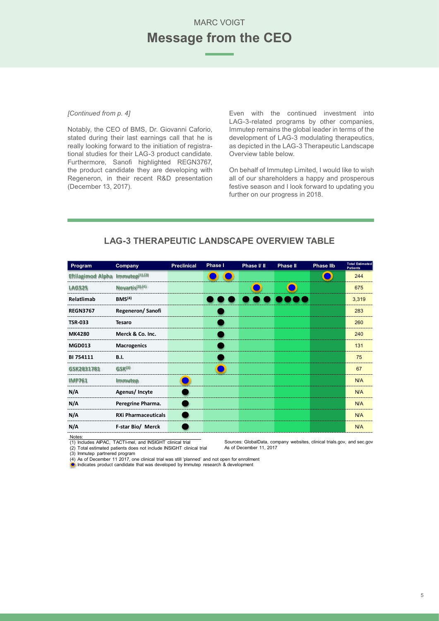### MARC VOIGT **Message from the CEO**

#### *[Continued from p. 4]*

Notably, the CEO of BMS, Dr. Giovanni Caforio, stated during their last earnings call that he is really looking forward to the initiation of registrational studies for their LAG-3 product candidate. Furthermore, Sanofi highlighted REGN3767, the product candidate they are developing with Regeneron, in their recent R&D presentation (December 13, 2017).

Even with the continued investment into LAG-3-related programs by other companies, Immutep remains the global leader in terms of the development of LAG-3 modulating therapeutics, as depicted in the LAG-3 Therapeutic Landscape Overview table below.

On behalf of Immutep Limited, I would like to wish all of our shareholders a happy and prosperous festive season and I look forward to updating you further on our progress in 2018.

| Program                          | Company                      | <b>Preclinical</b> | Phase I | Phase I/ II | <b>Phase II</b> | <b>Phase IIb</b> | <b>Total Estimated</b><br><b>Patients</b> |
|----------------------------------|------------------------------|--------------------|---------|-------------|-----------------|------------------|-------------------------------------------|
| Eftilagimod Alpha Immutep(1).(2) |                              |                    |         |             |                 |                  | 244                                       |
| <b>LAG525</b>                    | Novartis <sup>(3)</sup> ,(4) |                    |         |             |                 |                  | 675                                       |
| Relatlimab                       | BMS <sup>(4)</sup>           |                    |         |             |                 |                  | 3,319                                     |
| <b>REGN3767</b>                  | <b>Regeneron/Sanofi</b>      |                    |         |             |                 |                  | 283                                       |
| <b>TSR-033</b>                   | <b>Tesaro</b>                |                    |         |             |                 |                  | 260                                       |
| <b>MK4280</b>                    | Merck & Co. Inc.             |                    |         |             |                 |                  | 240                                       |
| <b>MGD013</b>                    | <b>Macrogenics</b>           |                    |         |             |                 |                  | 131                                       |
| BI 754111                        | B.I.                         |                    |         |             |                 |                  | 75                                        |
| GSK2831781                       | GSK <sup>(3)</sup>           |                    |         |             |                 |                  | 67                                        |
| <b>IMP761</b>                    | <b>Immutep</b>               |                    |         |             |                 |                  | <b>N/A</b>                                |
| N/A                              | Agenus/Incyte                |                    |         |             |                 |                  | <b>N/A</b>                                |
| N/A                              | Peregrine Pharma.            |                    |         |             |                 |                  | <b>N/A</b>                                |
| N/A                              | <b>RXi Pharmaceuticals</b>   |                    |         |             |                 |                  | <b>N/A</b>                                |
| N/A                              | F-star Bio/ Merck            |                    |         |             |                 |                  | <b>N/A</b>                                |

### **LAG-3 THERAPEUTIC LANDSCAPE OVERVIEW TABLE**

Notes: (1) Includes AIPAC, TACTI-mel, and INSIGHT clinical trial (2) Total estimated patients does not include INSIGHT clinical trial

Sources: GlobalData, company websites, clinical trials.gov, and sec.gov As of December 11, 2017

(3) Immutep partnered program

(4) As of December 11 2017, one clinical trial was still 'planned' and not open for enrollment Indicates product candidate that was developed by Immutep research & development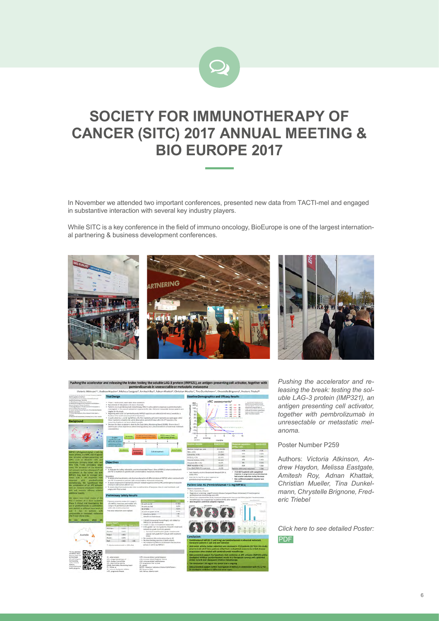

# **SOCIETY FOR IMMUNOTHERAPY OF CANCER (SITC) 2017 ANNUAL MEETING & BIO EUROPE 2017**

In November we attended two important conferences, presented new data from TACTI-mel and engaged in substantive interaction with several key industry players.

While SITC is a key conference in the field of immuno oncology, BioEurope is one of the largest international partnering & business development conferences.





*Pushing the accelerator and releasing the break: testing the soluble LAG-3 protein (IMP321), an antigen presenting cell activator, together with pembrolizumab in unresectable or metastatic melanoma.* 

#### Poster Number P259

Authors: *Victoria Atkinson, Andrew Haydon, Melissa Eastgate, Amitesh Roy, Adnan Khattak, Christian Mueller, Tina Dunkelmann, Chrystelle Brignone, Frederic Triebel*

*Click here to see detailed Poster:* [PDF](http://www.immutep.com/files/content/investor/presentation/2017/2017-11-06_TACTI_SITCposter_final.pdf)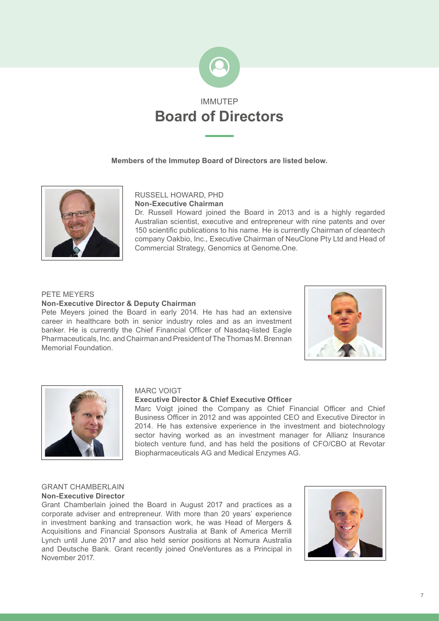

#### **Members of the Immutep Board of Directors are listed below.**



#### RUSSELL HOWARD, PHD **Non-Executive Chairman**

Dr. Russell Howard joined the Board in 2013 and is a highly regarded Australian scientist, executive and entrepreneur with nine patents and over 150 scientific publications to his name. He is currently Chairman of cleantech company Oakbio, Inc., Executive Chairman of NeuClone Pty Ltd and Head of Commercial Strategy, Genomics at Genome.One.

#### PETE MEYERS

#### **Non-Executive Director & Deputy Chairman**

Pete Meyers joined the Board in early 2014. He has had an extensive career in healthcare both in senior industry roles and as an investment banker. He is currently the Chief Financial Officer of Nasdaq-listed Eagle Pharmaceuticals, Inc. and Chairman and President of The Thomas M. Brennan Memorial Foundation.





#### MARC VOIGT

#### **Executive Director & Chief Executive Officer**

Marc Voigt joined the Company as Chief Financial Officer and Chief Business Officer in 2012 and was appointed CEO and Executive Director in 2014. He has extensive experience in the investment and biotechnology sector having worked as an investment manager for Allianz Insurance biotech venture fund, and has held the positions of CFO/CBO at Revotar Biopharmaceuticals AG and Medical Enzymes AG.

#### GRANT CHAMBERLAIN **Non-Executive Director**

Grant Chamberlain joined the Board in August 2017 and practices as a corporate adviser and entrepreneur. With more than 20 years' experience in investment banking and transaction work, he was Head of Mergers & Acquisitions and Financial Sponsors Australia at Bank of America Merrill Lynch until June 2017 and also held senior positions at Nomura Australia and Deutsche Bank. Grant recently joined OneVentures as a Principal in November 2017.

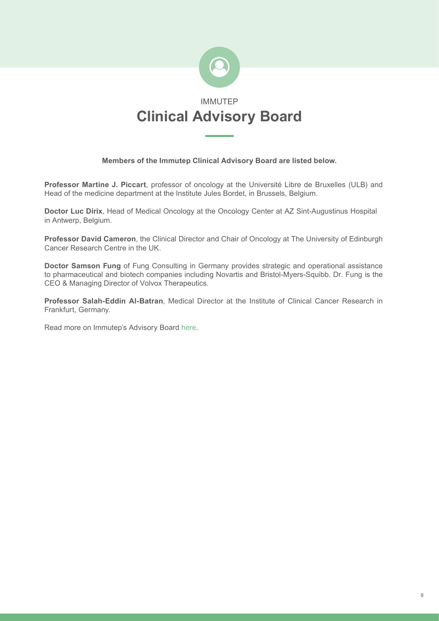

#### **Members of the Immutep Clinical Advisory Board are listed below.**

**Professor Martine J. Piccart**, professor of oncology at the Université Libre de Bruxelles (ULB) and Head of the medicine department at the Institute Jules Bordet, in Brussels, Belgium.

**Doctor Luc Dirix**, Head of Medical Oncology at the Oncology Center at AZ Sint-Augustinus Hospital in Antwerp, Belgium.

**Professor David Cameron**, the Clinical Director and Chair of Oncology at The University of Edinburgh Cancer Research Centre in the UK.

**Doctor Samson Fung** of Fung Consulting in Germany provides strategic and operational assistance to pharmaceutical and biotech companies including Novartis and Bristol-Myers-Squibb. Dr. Fung is the CEO & Managing Director of Volvox Therapeutics.

**Professor Salah-Eddin Al-Batran**, Medical Director at the Institute of Clinical Cancer Research in Frankfurt, Germany.

Read more on Immutep's Advisory Board [here](http://www.immutep.com/about-us/leadership-team.html).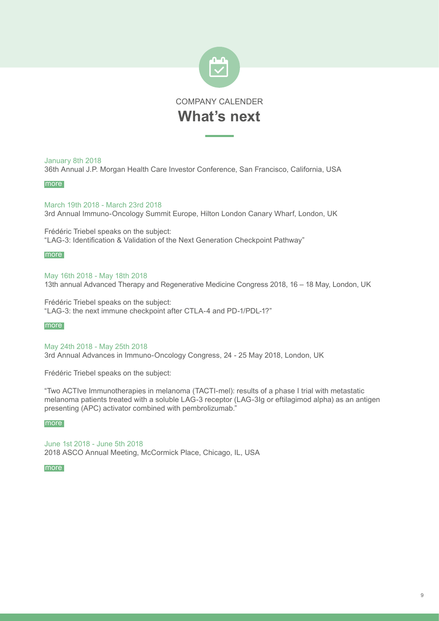

#### January 8th 2018

36th Annual J.P. Morgan Health Care Investor Conference, San Francisco, California, USA

#### [more](http://bit.ly/2xBvH7B)

March 19th 2018 - March 23rd 2018 3rd Annual Immuno-Oncology Summit Europe, Hilton London Canary Wharf, London, UK

Frédéric Triebel speaks on the subject: "LAG-3: Identification & Validation of the Next Generation Checkpoint Pathway"

#### [more](http://www.immuno-oncologyeurope.com/)

May 16th 2018 - May 18th 2018 13th annual Advanced Therapy and Regenerative Medicine Congress 2018, 16 – 18 May, London, UK

Frédéric Triebel speaks on the subject: "LAG-3: the next immune checkpoint after CTLA-4 and PD-1/PDL-1?"

#### [more](http://www.terrapinn.com/congress/advanced-therapies-regenerative-medicine/)

May 24th 2018 - May 25th 2018 3rd Annual Advances in Immuno-Oncology Congress, 24 - 25 May 2018, London, UK

Frédéric Triebel speaks on the subject:

"Two ACTIve Immunotherapies in melanoma (TACTI-mel): results of a phase I trial with metastatic melanoma patients treated with a soluble LAG-3 receptor (LAG-3Ig or eftilagimod alpha) as an antigen presenting (APC) activator combined with pembrolizumab."

#### [more](https://www.immunooncology-congress.com/)

June 1st 2018 - June 5th 2018 2018 ASCO Annual Meeting, McCormick Place, Chicago, IL, USA

### [more](https://am.asco.org/
) [more](https://am.asco.org/)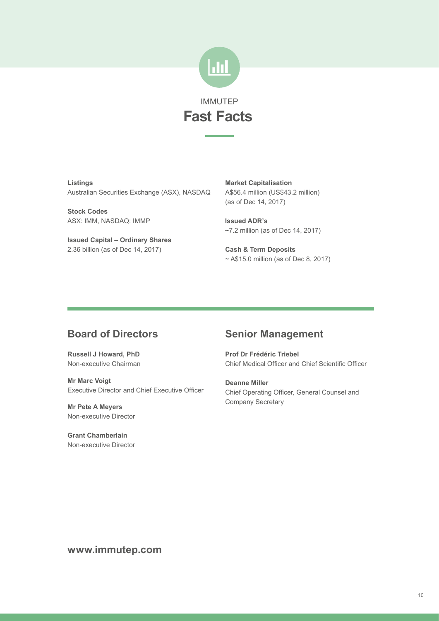

**Listings** Australian Securities Exchange (ASX), NASDAQ

**Stock Codes** ASX: IMM, NASDAQ: IMMP

**Issued Capital – Ordinary Shares** 2.36 billion (as of Dec 14, 2017)

**Market Capitalisation** A\$56.4 million (US\$43.2 million) (as of Dec 14, 2017)

**Issued ADR's ~**7.2 million (as of Dec 14, 2017)

**Cash & Term Deposits**  $\sim$  A\$15.0 million (as of Dec 8, 2017)

### **Board of Directors**

**Russell J Howard, PhD** Non-executive Chairman

**Mr Marc Voigt** Executive Director and Chief Executive Officer

**Mr Pete A Meyers** Non-executive Director

**Grant Chamberlain** Non-executive Director

### **Senior Management**

**Prof Dr Frédéric Triebel** Chief Medical Officer and Chief Scientific Officer

**Deanne Miller** Chief Operating Officer, General Counsel and Company Secretary

**www.immutep.com**